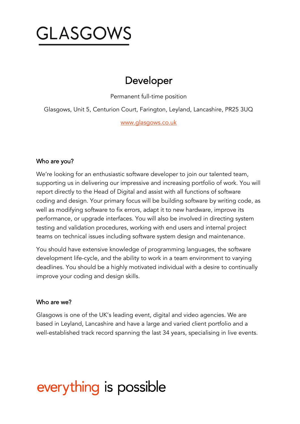

# Developer

Permanent full-time position

Glasgows, Unit 5, Centurion Court, Farington, Leyland, Lancashire, PR25 3UQ

[www.glasgows.co.uk](http://www.glasgows.co.uk/)

## Who are you?

We're looking for an enthusiastic software developer to join our talented team, supporting us in delivering our impressive and increasing portfolio of work. You will report directly to the Head of Digital and assist with all functions of software coding and design. Your primary focus will be building software by writing code, as well as modifying software to fix errors, adapt it to new hardware, improve its performance, or upgrade interfaces. You will also be involved in directing system testing and validation procedures, working with end users and internal project teams on technical issues including software system design and maintenance.

You should have extensive knowledge of programming languages, the software development life-cycle, and the ability to work in a team environment to varying deadlines. You should be a highly motivated individual with a desire to continually improve your coding and design skills.

#### Who are we?

Glasgows is one of the UK's leading event, digital and video agencies. We are based in Leyland, Lancashire and have a large and varied client portfolio and a well-established track record spanning the last 34 years, specialising in live events.

# everything is possible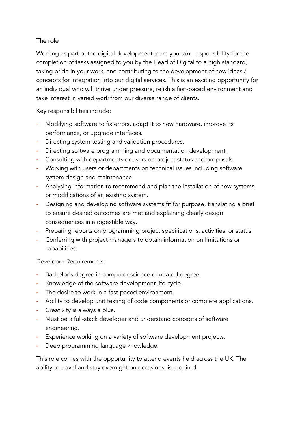# The role

Working as part of the digital development team you take responsibility for the completion of tasks assigned to you by the Head of Digital to a high standard, taking pride in your work, and contributing to the development of new ideas / concepts for integration into our digital services. This is an exciting opportunity for an individual who will thrive under pressure, relish a fast-paced environment and take interest in varied work from our diverse range of clients.

Key responsibilities include:

- Modifying software to fix errors, adapt it to new hardware, improve its performance, or upgrade interfaces.
- Directing system testing and validation procedures.
- Directing software programming and documentation development.
- Consulting with departments or users on project status and proposals.
- Working with users or departments on technical issues including software system design and maintenance.
- Analysing information to recommend and plan the installation of new systems or modifications of an existing system.
- Designing and developing software systems fit for purpose, translating a brief to ensure desired outcomes are met and explaining clearly design consequences in a digestible way.
- Preparing reports on programming project specifications, activities, or status.
- Conferring with project managers to obtain information on limitations or capabilities.

Developer Requirements:

- Bachelor's degree in computer science or related degree.
- Knowledge of the software development life-cycle.
- The desire to work in a fast-paced environment.
- Ability to develop unit testing of code components or complete applications.
- Creativity is always a plus.
- Must be a full-stack developer and understand concepts of software engineering.
- Experience working on a variety of software development projects.
- Deep programming language knowledge.

This role comes with the opportunity to attend events held across the UK. The ability to travel and stay overnight on occasions, is required.